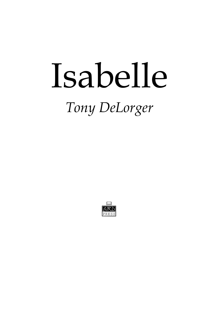## Isabelle Tony DeLorger

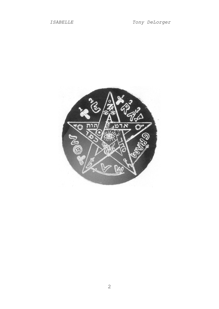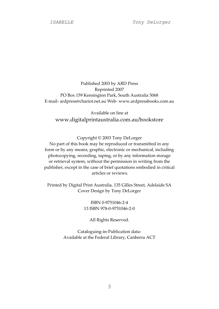Published 2003 by ARD Press Reprinted 2007 PO Box 159 Kensington Park, South Australia 5068 E-mail- ardpress@chariot.net.au Web- www.ardpressbooks.com.au

Available on line at www.digitalprintaustralia.com.au/bookstore

Copyright © 2003 Tony DeLorger

No part of this book may be reproduced or transmitted in any form or by any means, graphic, electronic or mechanical, including photocopying, recording, taping, or by any information storage or retrieval system, without the permission in writing from the publisher, except in the case of brief quotations embodied in critical articles or reviews.

Printed by Digital Print Australia, 135 Gilles Street, Adelaide SA Cover Design by Tony DeLorger

> ISBN 0-9751046-2-4 13 ISBN 978-0-9751046-2-0

> > All Rights Reserved.

Cataloguing-in-Publication data-Available at the Federal Library, Canberra ACT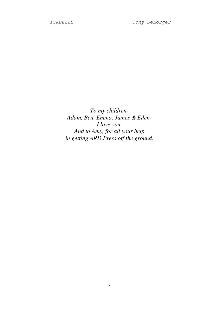*To my children-Adam, Ben, Emma, James & Eden-I love you. And to Amy, for all your help in getting ARD Press off the ground.*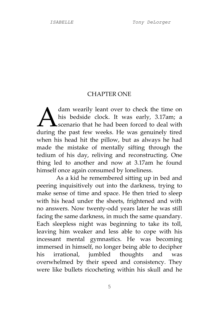## CHAPTER ONE

dam wearily leant over to check the time on his bedside clock. It was early, 3.17am; a scenario that he had been forced to deal with dam wearily leant over to check the time on his bedside clock. It was early, 3.17am; a scenario that he had been forced to deal with during the past few weeks. He was genuinely tired when his head hit the pillow, but as always he had made the mistake of mentally sifting through the tedium of his day, reliving and reconstructing. One thing led to another and now at 3.17am he found himself once again consumed by loneliness.

As a kid he remembered sitting up in bed and peering inquisitively out into the darkness, trying to make sense of time and space. He then tried to sleep with his head under the sheets, frightened and with no answers. Now twenty-odd years later he was still facing the same darkness, in much the same quandary. Each sleepless night was beginning to take its toll, leaving him weaker and less able to cope with his incessant mental gymnastics. He was becoming immersed in himself, no longer being able to decipher his irrational, jumbled thoughts and was overwhelmed by their speed and consistency. They were like bullets ricocheting within his skull and he

 $5<sup>1</sup>$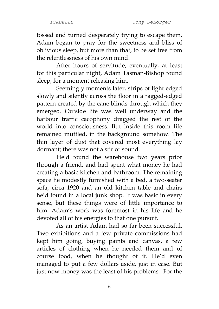tossed and turned desperately trying to escape them. Adam began to pray for the sweetness and bliss of oblivious sleep, but more than that, to be set free from the relentlessness of his own mind.

After hours of servitude, eventually, at least for this particular night, Adam Tasman-Bishop found sleep, for a moment releasing him.

Seemingly moments later, strips of light edged slowly and silently across the floor in a ragged-edged pattern created by the cane blinds through which they emerged. Outside life was well underway and the harbour traffic cacophony dragged the rest of the world into consciousness. But inside this room life remained muffled, in the background somehow. The thin layer of dust that covered most everything lay dormant; there was not a stir or sound.

He'd found the warehouse two years prior through a friend, and had spent what money he had creating a basic kitchen and bathroom. The remaining space he modestly furnished with a bed, a two-seater sofa, circa 1920 and an old kitchen table and chairs he'd found in a local junk shop. It was basic in every sense, but these things were of little importance to him. Adam's work was foremost in his life and he devoted all of his energies to that one pursuit.

As an artist Adam had so far been successful. Two exhibitions and a few private commissions had kept him going, buying paints and canvas, a few articles of clothing when he needed them and of course food, when he thought of it. He'd even managed to put a few dollars aside, just in case. But just now money was the least of his problems. For the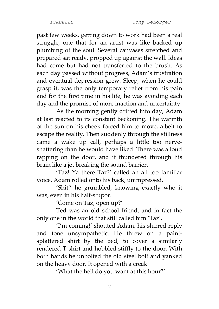past few weeks, getting down to work had been a real struggle, one that for an artist was like backed up plumbing of the soul. Several canvases stretched and prepared sat ready, propped up against the wall. Ideas had come but had not transferred to the brush. As each day passed without progress, Adam's frustration and eventual depression grew. Sleep, when he could grasp it, was the only temporary relief from his pain and for the first time in his life, he was avoiding each day and the promise of more inaction and uncertainty.

As the morning gently drifted into day, Adam at last reacted to its constant beckoning. The warmth of the sun on his cheek forced him to move, albeit to escape the reality. Then suddenly through the stillness came a wake up call, perhaps a little too nerveshattering than he would have liked. There was a loud rapping on the door, and it thundered through his brain like a jet breaking the sound barrier.

'Taz! Ya there Taz?' called an all too familiar voice. Adam rolled onto his back, unimpressed.

'Shit!' he grumbled, knowing exactly who it was, even in his half-stupor.

'Come on Taz, open up?'

Ted was an old school friend, and in fact the only one in the world that still called him 'Taz'.

'I'm coming!' shouted Adam, his slurred reply and tone unsympathetic. He threw on a paintsplattered shirt by the bed, to cover a similarly rendered T-shirt and hobbled stiffly to the door. With both hands he unbolted the old steel bolt and yanked on the heavy door. It opened with a creak

'What the hell do you want at this hour?'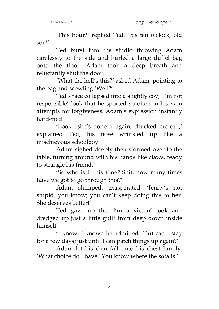'This hour?' replied Ted. 'It's ten o'clock, old son!'

Ted burst into the studio throwing Adam carelessly to the side and hurled a large duffel bag onto the floor. Adam took a deep breath and reluctantly shut the door.

'What the hell's this?' asked Adam, pointing to the bag and scowling 'Well?'

Ted's face collapsed into a slightly coy, 'I'm not responsible' look that he sported so often in his vain attempts for forgiveness. Adam's expression instantly hardened.

'Look....she's done it again, chucked me out,' explained Ted, his nose wrinkled up like a mischievous schoolboy.

Adam sighed deeply then stormed over to the table, turning around with his hands like claws, ready to strangle his friend.

'So who is it this time? Shit, how many times have we got to go through this?'

Adam slumped, exasperated. 'Jenny's not stupid, you know; you can't keep doing this to her. She deserves better!'

Ted gave up the 'I'm a victim' look and dredged up just a little guilt from deep down inside himself.

'I know, I know,' he admitted. 'But can I stay for a few days; just until I can patch things up again?'

Adam let his chin fall onto his chest limply. 'What choice do I have? You know where the sofa is.'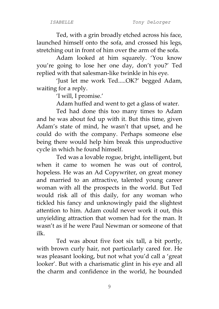Ted, with a grin broadly etched across his face, launched himself onto the sofa, and crossed his legs, stretching out in front of him over the arm of the sofa.

Adam looked at him squarely. 'You know you're going to lose her one day, don't you?' Ted replied with that salesman-like twinkle in his eye.

'Just let me work Ted.....OK?' begged Adam, waiting for a reply.

'I will, I promise.'

Adam huffed and went to get a glass of water.

Ted had done this too many times to Adam and he was about fed up with it. But this time, given Adam's state of mind, he wasn't that upset, and he could do with the company. Perhaps someone else being there would help him break this unproductive cycle in which he found himself.

Ted was a lovable rogue, bright, intelligent, but when it came to women he was out of control, hopeless. He was an Ad Copywriter, on great money and married to an attractive, talented young career woman with all the prospects in the world. But Ted would risk all of this daily, for any woman who tickled his fancy and unknowingly paid the slightest attention to him. Adam could never work it out, this unyielding attraction that women had for the man. It wasn't as if he were Paul Newman or someone of that ilk.

Ted was about five foot six tall, a bit portly, with brown curly hair, not particularly cared for. He was pleasant looking, but not what you'd call a 'great looker'. But with a charismatic glint in his eye and all the charm and confidence in the world, he bounded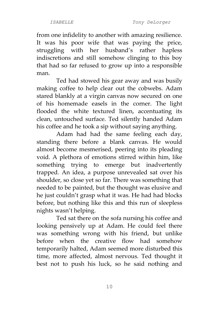from one infidelity to another with amazing resilience. It was his poor wife that was paying the price,<br>struggling with her husband's rather hapless struggling with her husband's indiscretions and still somehow clinging to this boy that had so far refused to grow up into a responsible man.

Ted had stowed his gear away and was busily making coffee to help clear out the cobwebs. Adam stared blankly at a virgin canvas now secured on one of his homemade easels in the corner. The light flooded the white textured linen, accentuating its clean, untouched surface. Ted silently handed Adam his coffee and he took a sip without saying anything.

Adam had had the same feeling each day, standing there before a blank canvas. He would almost become mesmerised, peering into its pleading void. A plethora of emotions stirred within him, like something trying to emerge but inadvertently trapped. An idea, a purpose unrevealed sat over his shoulder, so close yet so far. There was something that needed to be painted, but the thought was elusive and he just couldn't grasp what it was. He had had blocks before, but nothing like this and this run of sleepless nights wasn't helping.

Ted sat there on the sofa nursing his coffee and looking pensively up at Adam. He could feel there was something wrong with his friend, but unlike before when the creative flow had somehow temporarily halted, Adam seemed more disturbed this time, more affected, almost nervous. Ted thought it best not to push his luck, so he said nothing and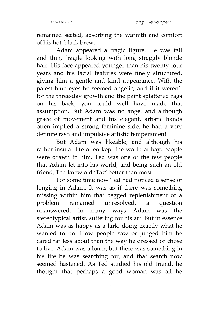remained seated, absorbing the warmth and comfort of his hot, black brew.

Adam appeared a tragic figure. He was tall and thin, fragile looking with long straggly blonde hair. His face appeared younger than his twenty-four years and his facial features were finely structured, giving him a gentle and kind appearance. With the palest blue eyes he seemed angelic, and if it weren't for the three-day growth and the paint splattered rags on his back, you could well have made that assumption. But Adam was no angel and although grace of movement and his elegant, artistic hands often implied a strong feminine side, he had a very definite rash and impulsive artistic temperament.

But Adam was likeable, and although his rather insular life often kept the world at bay, people were drawn to him. Ted was one of the few people that Adam let into his world, and being such an old friend, Ted knew old 'Taz' better than most.

For some time now Ted had noticed a sense of longing in Adam. It was as if there was something missing within him that begged replenishment or a problem remained unresolved, a question unanswered. In many ways Adam was the stereotypical artist, suffering for his art. But in essence Adam was as happy as a lark, doing exactly what he wanted to do. How people saw or judged him he cared far less about than the way he dressed or chose to live. Adam was a loner, but there was something in his life he was searching for, and that search now seemed hastened. As Ted studied his old friend, he thought that perhaps a good woman was all he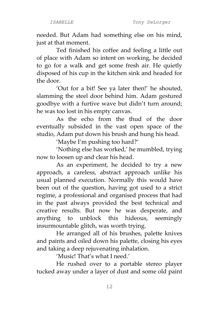needed. But Adam had something else on his mind, just at that moment.

Ted finished his coffee and feeling a little out of place with Adam so intent on working, he decided to go for a walk and get some fresh air. He quietly disposed of his cup in the kitchen sink and headed for the door.

'Out for a bit! See ya later then!' he shouted, slamming the steel door behind him. Adam gestured goodbye with a furtive wave but didn't turn around; he was too lost in his empty canvas.

As the echo from the thud of the door eventually subsided in the vast open space of the studio, Adam put down his brush and hung his head.

'Maybe I'm pushing too hard?'

'Nothing else has worked,' he mumbled, trying now to loosen up and clear his head.

As an experiment, he decided to try a new approach, a careless, abstract approach unlike his usual planned execution. Normally this would have been out of the question, having got used to a strict regime, a professional and organised process that had in the past always provided the best technical and creative results. But now he was desperate, and anything to unblock this hideous, seemingly insurmountable glitch, was worth trying.

He arranged all of his brushes, palette knives and paints and oiled down his palette, closing his eyes and taking a deep rejuvenating inhalation.

'Music! That's what I need.'

He rushed over to a portable stereo player tucked away under a layer of dust and some old paint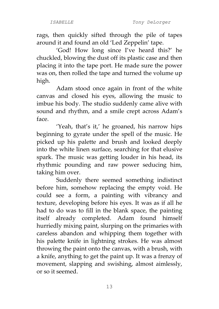rags, then quickly sifted through the pile of tapes around it and found an old 'Led Zeppelin' tape.

'God! How long since I've heard this?' he chuckled, blowing the dust off its plastic case and then placing it into the tape port. He made sure the power was on, then rolled the tape and turned the volume up high.

Adam stood once again in front of the white canvas and closed his eyes, allowing the music to imbue his body. The studio suddenly came alive with sound and rhythm, and a smile crept across Adam's face.

'Yeah, that's it,' he groaned, his narrow hips beginning to gyrate under the spell of the music. He picked up his palette and brush and looked deeply into the white linen surface, searching for that elusive spark. The music was getting louder in his head, its rhythmic pounding and raw power seducing him, taking him over.

Suddenly there seemed something indistinct before him, somehow replacing the empty void. He could see a form, a painting with vibrancy and texture, developing before his eyes. It was as if all he had to do was to fill in the blank space, the painting itself already completed. Adam found himself hurriedly mixing paint, slurping on the primaries with careless abandon and whipping them together with his palette knife in lightning strokes. He was almost throwing the paint onto the canvas, with a brush, with a knife, anything to get the paint up. It was a frenzy of movement, slapping and swishing, almost aimlessly, or so it seemed.

13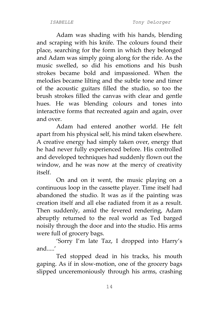Adam was shading with his hands, blending and scraping with his knife. The colours found their place, searching for the form in which they belonged and Adam was simply going along for the ride. As the music swelled, so did his emotions and his bush strokes became bold and impassioned. When the melodies became lilting and the subtle tone and timer of the acoustic guitars filled the studio, so too the brush strokes filled the canvas with clear and gentle hues. He was blending colours and tones into interactive forms that recreated again and again, over and over.

Adam had entered another world. He felt apart from his physical self, his mind taken elsewhere. A creative energy had simply taken over, energy that he had never fully experienced before. His controlled and developed techniques had suddenly flown out the window, and he was now at the mercy of creativity itself.

On and on it went, the music playing on a continuous loop in the cassette player. Time itself had abandoned the studio. It was as if the painting was creation itself and all else radiated from it as a result. Then suddenly, amid the fevered rendering, Adam abruptly returned to the real world as Ted barged noisily through the door and into the studio. His arms were full of grocery bags.

'Sorry I'm late Taz, I dropped into Harry's and.....'

Ted stopped dead in his tracks, his mouth gaping. As if in slow-motion, one of the grocery bags slipped unceremoniously through his arms, crashing